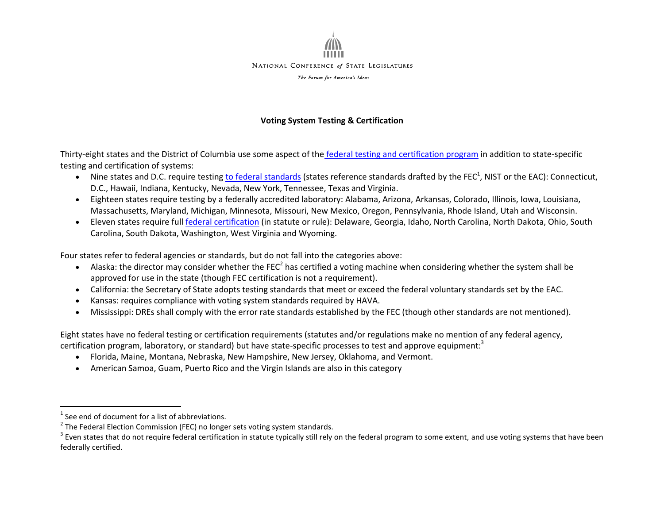

## **Voting System Testing & Certification**

Thirty-eight states and the District of Columbia use some aspect of the [federal testing and certification](https://www.eac.gov/voting-equipment/system-certification-process-s/) program in addition to state-specific testing and certification of systems:

- Nine states and D.C. require testing [to federal standards](http://www.eac.gov/testing_and_certification/voluntary_voting_system_guidelines.aspx) (states reference standards drafted by the FEC<sup>1</sup>, NIST or the EAC): Connecticut, D.C., Hawaii, Indiana, Kentucky, Nevada, New York, Tennessee, Texas and Virginia.
- Eighteen states require testing by a federally accredited laboratory: Alabama, Arizona, Arkansas, Colorado, Illinois, Iowa, Louisiana, Massachusetts, Maryland, Michigan, Minnesota, Missouri, New Mexico, Oregon, Pennsylvania, Rhode Island, Utah and Wisconsin.
- Eleven states require full [federal certification](http://www.eac.gov/testing_and_certification/testing_and_certification_program.aspx) (in statute or rule): Delaware, Georgia, Idaho, North Carolina, North Dakota, Ohio, South Carolina, South Dakota, Washington, West Virginia and Wyoming.

Four states refer to federal agencies or standards, but do not fall into the categories above:

- Alaska: the director may consider whether the FEC<sup>2</sup> has certified a voting machine when considering whether the system shall be approved for use in the state (though FEC certification is not a requirement).
- California: the Secretary of State adopts testing standards that meet or exceed the federal voluntary standards set by the EAC.
- Kansas: requires compliance with voting system standards required by HAVA.
- Mississippi: DREs shall comply with the error rate standards established by the FEC (though other standards are not mentioned).

Eight states have no federal testing or certification requirements (statutes and/or regulations make no mention of any federal agency, certification program, laboratory, or standard) but have state-specific processes to test and approve equipment:<sup>3</sup>

- Florida, Maine, Montana, Nebraska, New Hampshire, New Jersey, Oklahoma, and Vermont.
- American Samoa, Guam, Puerto Rico and the Virgin Islands are also in this category

i<br>L

 $<sup>1</sup>$  See end of document for a list of abbreviations.</sup>

 $^2$  The Federal Election Commission (FEC) no longer sets voting system standards.

 $^3$  Even states that do not require federal certification in statute typically still rely on the federal program to some extent, and use voting systems that have been federally certified.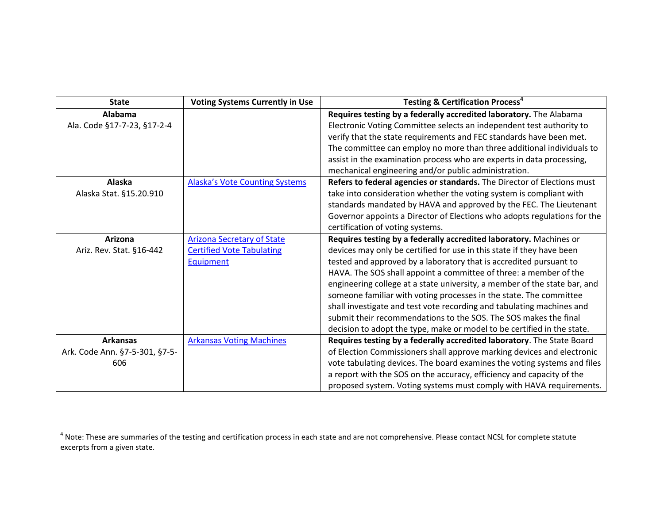| <b>State</b>                   | <b>Voting Systems Currently in Use</b> | <b>Testing &amp; Certification Process<sup>4</sup></b>                    |
|--------------------------------|----------------------------------------|---------------------------------------------------------------------------|
| Alabama                        |                                        | Requires testing by a federally accredited laboratory. The Alabama        |
| Ala. Code §17-7-23, §17-2-4    |                                        | Electronic Voting Committee selects an independent test authority to      |
|                                |                                        | verify that the state requirements and FEC standards have been met.       |
|                                |                                        | The committee can employ no more than three additional individuals to     |
|                                |                                        | assist in the examination process who are experts in data processing,     |
|                                |                                        | mechanical engineering and/or public administration.                      |
| Alaska                         | <b>Alaska's Vote Counting Systems</b>  | Refers to federal agencies or standards. The Director of Elections must   |
| Alaska Stat. §15.20.910        |                                        | take into consideration whether the voting system is compliant with       |
|                                |                                        | standards mandated by HAVA and approved by the FEC. The Lieutenant        |
|                                |                                        | Governor appoints a Director of Elections who adopts regulations for the  |
|                                |                                        | certification of voting systems.                                          |
| Arizona                        | <b>Arizona Secretary of State</b>      | Requires testing by a federally accredited laboratory. Machines or        |
| Ariz. Rev. Stat. §16-442       | <b>Certified Vote Tabulating</b>       | devices may only be certified for use in this state if they have been     |
|                                | Equipment                              | tested and approved by a laboratory that is accredited pursuant to        |
|                                |                                        | HAVA. The SOS shall appoint a committee of three: a member of the         |
|                                |                                        | engineering college at a state university, a member of the state bar, and |
|                                |                                        | someone familiar with voting processes in the state. The committee        |
|                                |                                        | shall investigate and test vote recording and tabulating machines and     |
|                                |                                        | submit their recommendations to the SOS. The SOS makes the final          |
|                                |                                        | decision to adopt the type, make or model to be certified in the state.   |
| <b>Arkansas</b>                | <b>Arkansas Voting Machines</b>        | Requires testing by a federally accredited laboratory. The State Board    |
| Ark. Code Ann. §7-5-301, §7-5- |                                        | of Election Commissioners shall approve marking devices and electronic    |
| 606                            |                                        | vote tabulating devices. The board examines the voting systems and files  |
|                                |                                        | a report with the SOS on the accuracy, efficiency and capacity of the     |
|                                |                                        | proposed system. Voting systems must comply with HAVA requirements.       |

i<br>L

 $^4$  Note: These are summaries of the testing and certification process in each state and are not comprehensive. Please contact NCSL for complete statute excerpts from a given state.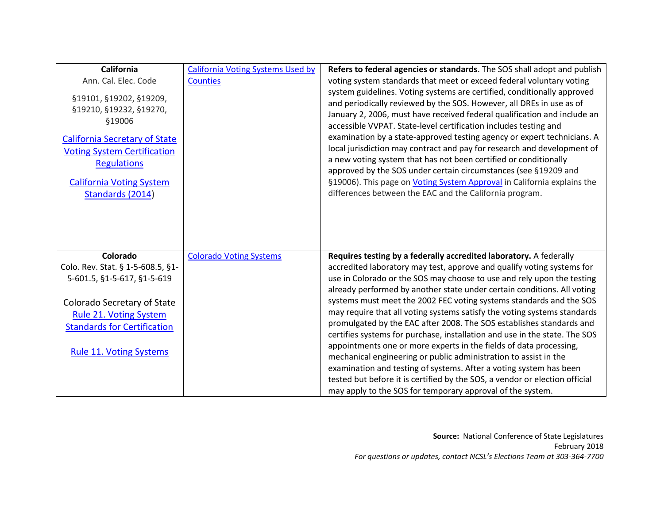| <b>California</b>                                                                                                                                                                                                       | <b>California Voting Systems Used by</b> | Refers to federal agencies or standards. The SOS shall adopt and publish                                                                                                                                                                                                                                                                                                                                                                                                                                                                                                                                                                                                                                                                  |
|-------------------------------------------------------------------------------------------------------------------------------------------------------------------------------------------------------------------------|------------------------------------------|-------------------------------------------------------------------------------------------------------------------------------------------------------------------------------------------------------------------------------------------------------------------------------------------------------------------------------------------------------------------------------------------------------------------------------------------------------------------------------------------------------------------------------------------------------------------------------------------------------------------------------------------------------------------------------------------------------------------------------------------|
| Ann. Cal. Elec. Code                                                                                                                                                                                                    | <b>Counties</b>                          | voting system standards that meet or exceed federal voluntary voting                                                                                                                                                                                                                                                                                                                                                                                                                                                                                                                                                                                                                                                                      |
| §19101, §19202, §19209,<br>§19210, §19232, §19270,<br>§19006<br><b>California Secretary of State</b><br><b>Voting System Certification</b><br><b>Regulations</b><br><b>California Voting System</b><br>Standards (2014) |                                          | system guidelines. Voting systems are certified, conditionally approved<br>and periodically reviewed by the SOS. However, all DREs in use as of<br>January 2, 2006, must have received federal qualification and include an<br>accessible VVPAT. State-level certification includes testing and<br>examination by a state-approved testing agency or expert technicians. A<br>local jurisdiction may contract and pay for research and development of<br>a new voting system that has not been certified or conditionally<br>approved by the SOS under certain circumstances (see §19209 and<br>§19006). This page on <i>Voting System Approval</i> in California explains the<br>differences between the EAC and the California program. |
| Colorado                                                                                                                                                                                                                | <b>Colorado Voting Systems</b>           | Requires testing by a federally accredited laboratory. A federally                                                                                                                                                                                                                                                                                                                                                                                                                                                                                                                                                                                                                                                                        |
| Colo. Rev. Stat. § 1-5-608.5, §1-                                                                                                                                                                                       |                                          | accredited laboratory may test, approve and qualify voting systems for                                                                                                                                                                                                                                                                                                                                                                                                                                                                                                                                                                                                                                                                    |
| 5-601.5, §1-5-617, §1-5-619                                                                                                                                                                                             |                                          | use in Colorado or the SOS may choose to use and rely upon the testing                                                                                                                                                                                                                                                                                                                                                                                                                                                                                                                                                                                                                                                                    |
|                                                                                                                                                                                                                         |                                          | already performed by another state under certain conditions. All voting                                                                                                                                                                                                                                                                                                                                                                                                                                                                                                                                                                                                                                                                   |
| Colorado Secretary of State                                                                                                                                                                                             |                                          | systems must meet the 2002 FEC voting systems standards and the SOS                                                                                                                                                                                                                                                                                                                                                                                                                                                                                                                                                                                                                                                                       |
| Rule 21. Voting System                                                                                                                                                                                                  |                                          | may require that all voting systems satisfy the voting systems standards                                                                                                                                                                                                                                                                                                                                                                                                                                                                                                                                                                                                                                                                  |
| <b>Standards for Certification</b>                                                                                                                                                                                      |                                          | promulgated by the EAC after 2008. The SOS establishes standards and                                                                                                                                                                                                                                                                                                                                                                                                                                                                                                                                                                                                                                                                      |
|                                                                                                                                                                                                                         |                                          | certifies systems for purchase, installation and use in the state. The SOS                                                                                                                                                                                                                                                                                                                                                                                                                                                                                                                                                                                                                                                                |
| <b>Rule 11. Voting Systems</b>                                                                                                                                                                                          |                                          | appointments one or more experts in the fields of data processing,<br>mechanical engineering or public administration to assist in the                                                                                                                                                                                                                                                                                                                                                                                                                                                                                                                                                                                                    |
|                                                                                                                                                                                                                         |                                          | examination and testing of systems. After a voting system has been                                                                                                                                                                                                                                                                                                                                                                                                                                                                                                                                                                                                                                                                        |
|                                                                                                                                                                                                                         |                                          | tested but before it is certified by the SOS, a vendor or election official                                                                                                                                                                                                                                                                                                                                                                                                                                                                                                                                                                                                                                                               |
|                                                                                                                                                                                                                         |                                          | may apply to the SOS for temporary approval of the system.                                                                                                                                                                                                                                                                                                                                                                                                                                                                                                                                                                                                                                                                                |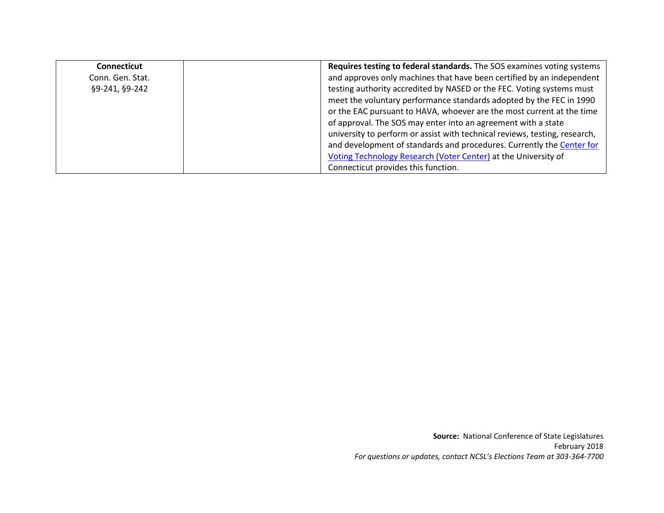| Connecticut      | Requires testing to federal standards. The SOS examines voting systems     |
|------------------|----------------------------------------------------------------------------|
| Conn. Gen. Stat. | and approves only machines that have been certified by an independent      |
| §9-241, §9-242   | testing authority accredited by NASED or the FEC. Voting systems must      |
|                  | meet the voluntary performance standards adopted by the FEC in 1990        |
|                  | or the EAC pursuant to HAVA, whoever are the most current at the time      |
|                  | of approval. The SOS may enter into an agreement with a state              |
|                  | university to perform or assist with technical reviews, testing, research, |
|                  | and development of standards and procedures. Currently the Center for      |
|                  | Voting Technology Research (Voter Center) at the University of             |
|                  | Connecticut provides this function.                                        |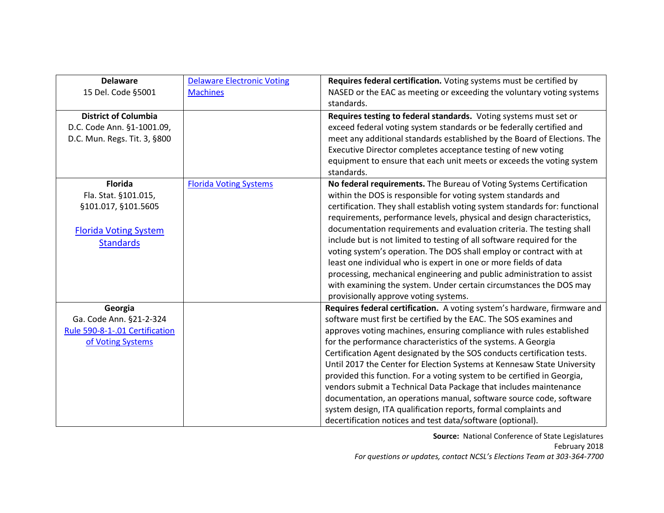| <b>Delaware</b>                | <b>Delaware Electronic Voting</b> | Requires federal certification. Voting systems must be certified by         |
|--------------------------------|-----------------------------------|-----------------------------------------------------------------------------|
| 15 Del. Code §5001             | <b>Machines</b>                   | NASED or the EAC as meeting or exceeding the voluntary voting systems       |
|                                |                                   | standards.                                                                  |
| <b>District of Columbia</b>    |                                   | Requires testing to federal standards. Voting systems must set or           |
| D.C. Code Ann. §1-1001.09,     |                                   | exceed federal voting system standards or be federally certified and        |
| D.C. Mun. Regs. Tit. 3, §800   |                                   | meet any additional standards established by the Board of Elections. The    |
|                                |                                   | Executive Director completes acceptance testing of new voting               |
|                                |                                   | equipment to ensure that each unit meets or exceeds the voting system       |
|                                |                                   | standards.                                                                  |
| <b>Florida</b>                 | <b>Florida Voting Systems</b>     | No federal requirements. The Bureau of Voting Systems Certification         |
| Fla. Stat. §101.015,           |                                   | within the DOS is responsible for voting system standards and               |
| §101.017, §101.5605            |                                   | certification. They shall establish voting system standards for: functional |
|                                |                                   | requirements, performance levels, physical and design characteristics,      |
| <b>Florida Voting System</b>   |                                   | documentation requirements and evaluation criteria. The testing shall       |
| <b>Standards</b>               |                                   | include but is not limited to testing of all software required for the      |
|                                |                                   | voting system's operation. The DOS shall employ or contract with at         |
|                                |                                   | least one individual who is expert in one or more fields of data            |
|                                |                                   | processing, mechanical engineering and public administration to assist      |
|                                |                                   | with examining the system. Under certain circumstances the DOS may          |
|                                |                                   | provisionally approve voting systems.                                       |
| Georgia                        |                                   | Requires federal certification. A voting system's hardware, firmware and    |
| Ga. Code Ann. §21-2-324        |                                   | software must first be certified by the EAC. The SOS examines and           |
| Rule 590-8-1-.01 Certification |                                   | approves voting machines, ensuring compliance with rules established        |
| of Voting Systems              |                                   | for the performance characteristics of the systems. A Georgia               |
|                                |                                   | Certification Agent designated by the SOS conducts certification tests.     |
|                                |                                   | Until 2017 the Center for Election Systems at Kennesaw State University     |
|                                |                                   | provided this function. For a voting system to be certified in Georgia,     |
|                                |                                   | vendors submit a Technical Data Package that includes maintenance           |
|                                |                                   | documentation, an operations manual, software source code, software         |
|                                |                                   | system design, ITA qualification reports, formal complaints and             |
|                                |                                   | decertification notices and test data/software (optional).                  |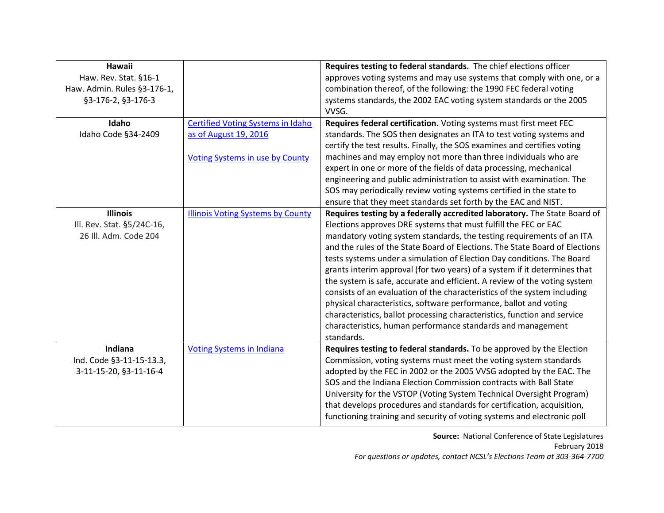| Hawaii                      |                                          | Requires testing to federal standards. The chief elections officer          |
|-----------------------------|------------------------------------------|-----------------------------------------------------------------------------|
| Haw. Rev. Stat. §16-1       |                                          | approves voting systems and may use systems that comply with one, or a      |
| Haw. Admin. Rules §3-176-1, |                                          | combination thereof, of the following: the 1990 FEC federal voting          |
| §3-176-2, §3-176-3          |                                          | systems standards, the 2002 EAC voting system standards or the 2005         |
|                             |                                          | VVSG.                                                                       |
| Idaho                       | <b>Certified Voting Systems in Idaho</b> | Requires federal certification. Voting systems must first meet FEC          |
| Idaho Code §34-2409         | as of August 19, 2016                    | standards. The SOS then designates an ITA to test voting systems and        |
|                             |                                          | certify the test results. Finally, the SOS examines and certifies voting    |
|                             | <b>Voting Systems in use by County</b>   | machines and may employ not more than three individuals who are             |
|                             |                                          | expert in one or more of the fields of data processing, mechanical          |
|                             |                                          | engineering and public administration to assist with examination. The       |
|                             |                                          | SOS may periodically review voting systems certified in the state to        |
|                             |                                          | ensure that they meet standards set forth by the EAC and NIST.              |
| <b>Illinois</b>             | <b>Illinois Voting Systems by County</b> | Requires testing by a federally accredited laboratory. The State Board of   |
| Ill. Rev. Stat. §5/24C-16,  |                                          | Elections approves DRE systems that must fulfill the FEC or EAC             |
| 26 III. Adm. Code 204       |                                          | mandatory voting system standards, the testing requirements of an ITA       |
|                             |                                          | and the rules of the State Board of Elections. The State Board of Elections |
|                             |                                          | tests systems under a simulation of Election Day conditions. The Board      |
|                             |                                          | grants interim approval (for two years) of a system if it determines that   |
|                             |                                          | the system is safe, accurate and efficient. A review of the voting system   |
|                             |                                          | consists of an evaluation of the characteristics of the system including    |
|                             |                                          | physical characteristics, software performance, ballot and voting           |
|                             |                                          | characteristics, ballot processing characteristics, function and service    |
|                             |                                          | characteristics, human performance standards and management                 |
|                             |                                          | standards.                                                                  |
| Indiana                     | <b>Voting Systems in Indiana</b>         | Requires testing to federal standards. To be approved by the Election       |
| Ind. Code §3-11-15-13.3,    |                                          | Commission, voting systems must meet the voting system standards            |
| 3-11-15-20, §3-11-16-4      |                                          | adopted by the FEC in 2002 or the 2005 VVSG adopted by the EAC. The         |
|                             |                                          | SOS and the Indiana Election Commission contracts with Ball State           |
|                             |                                          | University for the VSTOP (Voting System Technical Oversight Program)        |
|                             |                                          | that develops procedures and standards for certification, acquisition,      |
|                             |                                          | functioning training and security of voting systems and electronic poll     |
|                             |                                          |                                                                             |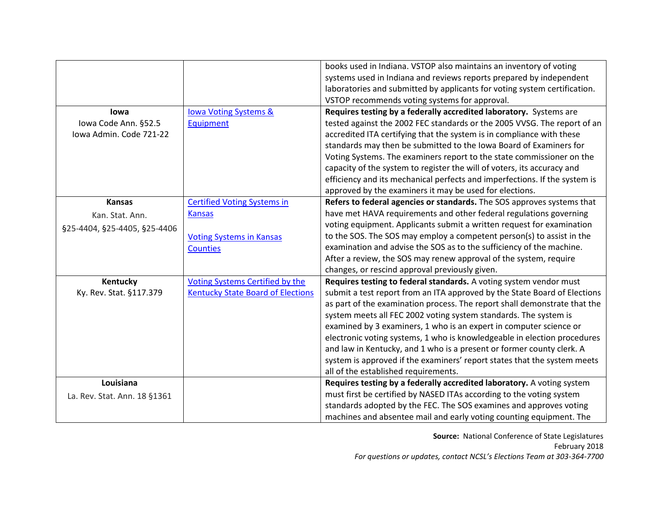|                              |                                          | books used in Indiana. VSTOP also maintains an inventory of voting         |
|------------------------------|------------------------------------------|----------------------------------------------------------------------------|
|                              |                                          | systems used in Indiana and reviews reports prepared by independent        |
|                              |                                          | laboratories and submitted by applicants for voting system certification.  |
|                              |                                          | VSTOP recommends voting systems for approval.                              |
| lowa                         | <b>Iowa Voting Systems &amp;</b>         | Requires testing by a federally accredited laboratory. Systems are         |
| Iowa Code Ann. §52.5         | <b>Equipment</b>                         | tested against the 2002 FEC standards or the 2005 VVSG. The report of an   |
| Iowa Admin. Code 721-22      |                                          | accredited ITA certifying that the system is in compliance with these      |
|                              |                                          | standards may then be submitted to the Iowa Board of Examiners for         |
|                              |                                          | Voting Systems. The examiners report to the state commissioner on the      |
|                              |                                          | capacity of the system to register the will of voters, its accuracy and    |
|                              |                                          | efficiency and its mechanical perfects and imperfections. If the system is |
|                              |                                          | approved by the examiners it may be used for elections.                    |
| <b>Kansas</b>                | <b>Certified Voting Systems in</b>       | Refers to federal agencies or standards. The SOS approves systems that     |
| Kan. Stat. Ann.              | <b>Kansas</b>                            | have met HAVA requirements and other federal regulations governing         |
| §25-4404, §25-4405, §25-4406 |                                          | voting equipment. Applicants submit a written request for examination      |
|                              | <b>Voting Systems in Kansas</b>          | to the SOS. The SOS may employ a competent person(s) to assist in the      |
|                              | <b>Counties</b>                          | examination and advise the SOS as to the sufficiency of the machine.       |
|                              |                                          | After a review, the SOS may renew approval of the system, require          |
|                              |                                          | changes, or rescind approval previously given.                             |
| Kentucky                     | <b>Voting Systems Certified by the</b>   | Requires testing to federal standards. A voting system vendor must         |
| Ky. Rev. Stat. §117.379      | <b>Kentucky State Board of Elections</b> | submit a test report from an ITA approved by the State Board of Elections  |
|                              |                                          | as part of the examination process. The report shall demonstrate that the  |
|                              |                                          | system meets all FEC 2002 voting system standards. The system is           |
|                              |                                          | examined by 3 examiners, 1 who is an expert in computer science or         |
|                              |                                          | electronic voting systems, 1 who is knowledgeable in election procedures   |
|                              |                                          | and law in Kentucky, and 1 who is a present or former county clerk. A      |
|                              |                                          | system is approved if the examiners' report states that the system meets   |
|                              |                                          | all of the established requirements.                                       |
| Louisiana                    |                                          | Requires testing by a federally accredited laboratory. A voting system     |
| La. Rev. Stat. Ann. 18 §1361 |                                          | must first be certified by NASED ITAs according to the voting system       |
|                              |                                          | standards adopted by the FEC. The SOS examines and approves voting         |
|                              |                                          | machines and absentee mail and early voting counting equipment. The        |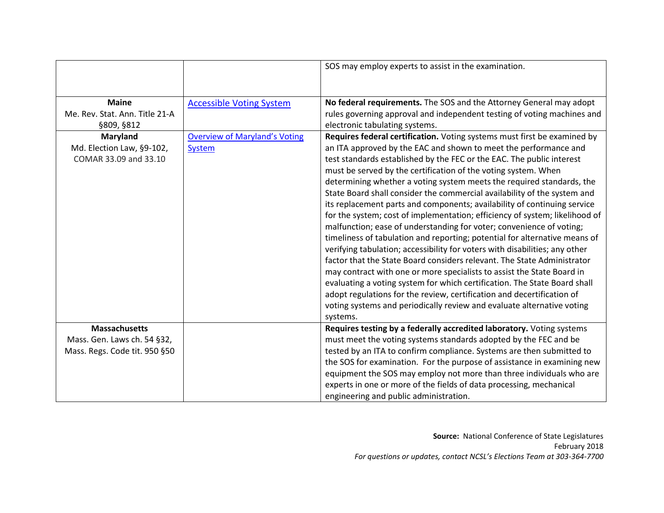|                                |                                      | SOS may employ experts to assist in the examination.                        |
|--------------------------------|--------------------------------------|-----------------------------------------------------------------------------|
|                                |                                      |                                                                             |
| <b>Maine</b>                   | <b>Accessible Voting System</b>      | No federal requirements. The SOS and the Attorney General may adopt         |
| Me. Rev. Stat. Ann. Title 21-A |                                      | rules governing approval and independent testing of voting machines and     |
| §809, §812                     |                                      | electronic tabulating systems.                                              |
| <b>Maryland</b>                | <b>Overview of Maryland's Voting</b> | Requires federal certification. Voting systems must first be examined by    |
| Md. Election Law, §9-102,      | <b>System</b>                        | an ITA approved by the EAC and shown to meet the performance and            |
| COMAR 33.09 and 33.10          |                                      | test standards established by the FEC or the EAC. The public interest       |
|                                |                                      | must be served by the certification of the voting system. When              |
|                                |                                      | determining whether a voting system meets the required standards, the       |
|                                |                                      | State Board shall consider the commercial availability of the system and    |
|                                |                                      | its replacement parts and components; availability of continuing service    |
|                                |                                      | for the system; cost of implementation; efficiency of system; likelihood of |
|                                |                                      | malfunction; ease of understanding for voter; convenience of voting;        |
|                                |                                      | timeliness of tabulation and reporting; potential for alternative means of  |
|                                |                                      | verifying tabulation; accessibility for voters with disabilities; any other |
|                                |                                      | factor that the State Board considers relevant. The State Administrator     |
|                                |                                      | may contract with one or more specialists to assist the State Board in      |
|                                |                                      | evaluating a voting system for which certification. The State Board shall   |
|                                |                                      | adopt regulations for the review, certification and decertification of      |
|                                |                                      | voting systems and periodically review and evaluate alternative voting      |
|                                |                                      | systems.                                                                    |
| <b>Massachusetts</b>           |                                      | Requires testing by a federally accredited laboratory. Voting systems       |
| Mass. Gen. Laws ch. 54 §32,    |                                      | must meet the voting systems standards adopted by the FEC and be            |
| Mass. Regs. Code tit. 950 §50  |                                      | tested by an ITA to confirm compliance. Systems are then submitted to       |
|                                |                                      | the SOS for examination. For the purpose of assistance in examining new     |
|                                |                                      | equipment the SOS may employ not more than three individuals who are        |
|                                |                                      | experts in one or more of the fields of data processing, mechanical         |
|                                |                                      | engineering and public administration.                                      |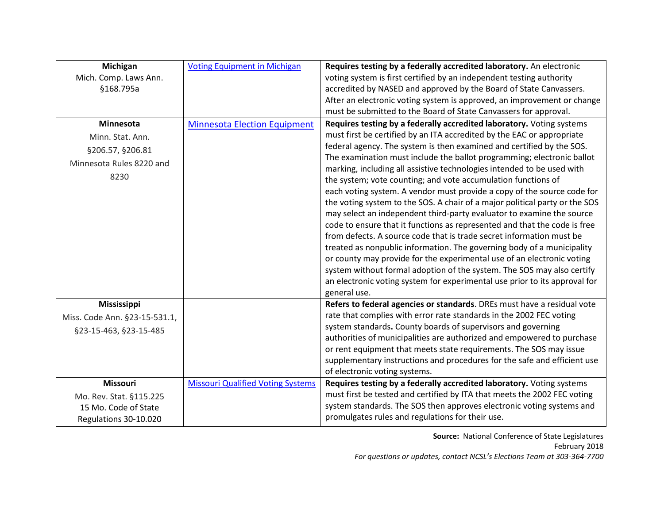| Michigan                      | <b>Voting Equipment in Michigan</b>      | Requires testing by a federally accredited laboratory. An electronic        |
|-------------------------------|------------------------------------------|-----------------------------------------------------------------------------|
| Mich. Comp. Laws Ann.         |                                          | voting system is first certified by an independent testing authority        |
| §168.795a                     |                                          | accredited by NASED and approved by the Board of State Canvassers.          |
|                               |                                          | After an electronic voting system is approved, an improvement or change     |
|                               |                                          | must be submitted to the Board of State Canvassers for approval.            |
| Minnesota                     | <b>Minnesota Election Equipment</b>      | Requires testing by a federally accredited laboratory. Voting systems       |
| Minn. Stat. Ann.              |                                          | must first be certified by an ITA accredited by the EAC or appropriate      |
| §206.57, §206.81              |                                          | federal agency. The system is then examined and certified by the SOS.       |
| Minnesota Rules 8220 and      |                                          | The examination must include the ballot programming; electronic ballot      |
| 8230                          |                                          | marking, including all assistive technologies intended to be used with      |
|                               |                                          | the system; vote counting; and vote accumulation functions of               |
|                               |                                          | each voting system. A vendor must provide a copy of the source code for     |
|                               |                                          | the voting system to the SOS. A chair of a major political party or the SOS |
|                               |                                          | may select an independent third-party evaluator to examine the source       |
|                               |                                          | code to ensure that it functions as represented and that the code is free   |
|                               |                                          | from defects. A source code that is trade secret information must be        |
|                               |                                          | treated as nonpublic information. The governing body of a municipality      |
|                               |                                          | or county may provide for the experimental use of an electronic voting      |
|                               |                                          | system without formal adoption of the system. The SOS may also certify      |
|                               |                                          | an electronic voting system for experimental use prior to its approval for  |
|                               |                                          | general use.                                                                |
| <b>Mississippi</b>            |                                          | Refers to federal agencies or standards. DREs must have a residual vote     |
| Miss. Code Ann. §23-15-531.1, |                                          | rate that complies with error rate standards in the 2002 FEC voting         |
| §23-15-463, §23-15-485        |                                          | system standards. County boards of supervisors and governing                |
|                               |                                          | authorities of municipalities are authorized and empowered to purchase      |
|                               |                                          | or rent equipment that meets state requirements. The SOS may issue          |
|                               |                                          | supplementary instructions and procedures for the safe and efficient use    |
|                               |                                          | of electronic voting systems.                                               |
| Missouri                      | <b>Missouri Qualified Voting Systems</b> | Requires testing by a federally accredited laboratory. Voting systems       |
| Mo. Rev. Stat. §115.225       |                                          | must first be tested and certified by ITA that meets the 2002 FEC voting    |
| 15 Mo. Code of State          |                                          | system standards. The SOS then approves electronic voting systems and       |
| Regulations 30-10.020         |                                          | promulgates rules and regulations for their use.                            |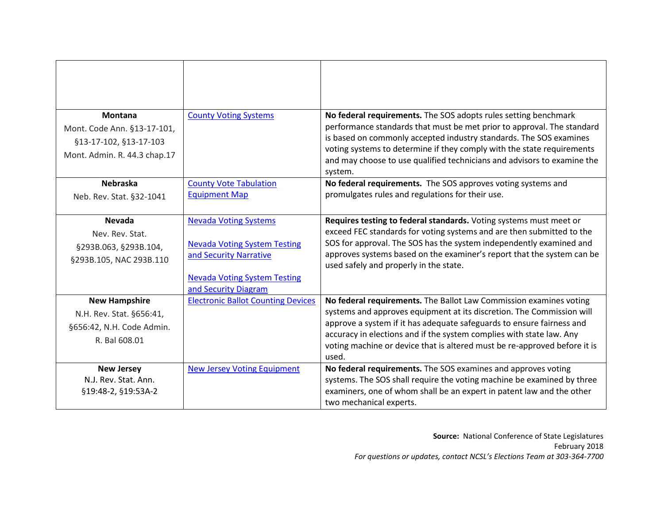| <b>Montana</b><br>Mont. Code Ann. §13-17-101,                                                  | <b>County Voting Systems</b>                                                                                                                                 | No federal requirements. The SOS adopts rules setting benchmark<br>performance standards that must be met prior to approval. The standard<br>is based on commonly accepted industry standards. The SOS examines                                                                                                                                                                    |
|------------------------------------------------------------------------------------------------|--------------------------------------------------------------------------------------------------------------------------------------------------------------|------------------------------------------------------------------------------------------------------------------------------------------------------------------------------------------------------------------------------------------------------------------------------------------------------------------------------------------------------------------------------------|
| §13-17-102, §13-17-103<br>Mont. Admin. R. 44.3 chap.17                                         |                                                                                                                                                              | voting systems to determine if they comply with the state requirements<br>and may choose to use qualified technicians and advisors to examine the<br>system.                                                                                                                                                                                                                       |
| <b>Nebraska</b><br>Neb. Rev. Stat. §32-1041                                                    | <b>County Vote Tabulation</b><br><b>Equipment Map</b>                                                                                                        | No federal requirements. The SOS approves voting systems and<br>promulgates rules and regulations for their use.                                                                                                                                                                                                                                                                   |
| <b>Nevada</b><br>Nev. Rev. Stat.<br>§293B.063, §293B.104,<br>§293B.105, NAC 293B.110           | <b>Nevada Voting Systems</b><br><b>Nevada Voting System Testing</b><br>and Security Narrative<br><b>Nevada Voting System Testing</b><br>and Security Diagram | Requires testing to federal standards. Voting systems must meet or<br>exceed FEC standards for voting systems and are then submitted to the<br>SOS for approval. The SOS has the system independently examined and<br>approves systems based on the examiner's report that the system can be<br>used safely and properly in the state.                                             |
| <b>New Hampshire</b><br>N.H. Rev. Stat. §656:41,<br>§656:42, N.H. Code Admin.<br>R. Bal 608.01 | <b>Electronic Ballot Counting Devices</b>                                                                                                                    | No federal requirements. The Ballot Law Commission examines voting<br>systems and approves equipment at its discretion. The Commission will<br>approve a system if it has adequate safeguards to ensure fairness and<br>accuracy in elections and if the system complies with state law. Any<br>voting machine or device that is altered must be re-approved before it is<br>used. |
| <b>New Jersey</b><br>N.J. Rev. Stat. Ann.<br>§19:48-2, §19:53A-2                               | <b>New Jersey Voting Equipment</b>                                                                                                                           | No federal requirements. The SOS examines and approves voting<br>systems. The SOS shall require the voting machine be examined by three<br>examiners, one of whom shall be an expert in patent law and the other<br>two mechanical experts.                                                                                                                                        |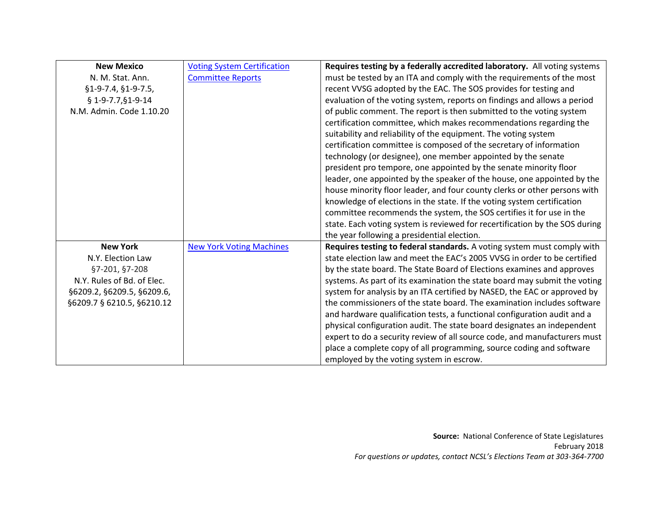| <b>New Mexico</b>          | <b>Voting System Certification</b> | Requires testing by a federally accredited laboratory. All voting systems   |
|----------------------------|------------------------------------|-----------------------------------------------------------------------------|
| N. M. Stat. Ann.           | <b>Committee Reports</b>           | must be tested by an ITA and comply with the requirements of the most       |
| $$1-9-7.4, $1-9-7.5,$      |                                    | recent VVSG adopted by the EAC. The SOS provides for testing and            |
| $$1-9-7.7, $1-9-14$        |                                    | evaluation of the voting system, reports on findings and allows a period    |
| N.M. Admin. Code 1.10.20   |                                    | of public comment. The report is then submitted to the voting system        |
|                            |                                    | certification committee, which makes recommendations regarding the          |
|                            |                                    | suitability and reliability of the equipment. The voting system             |
|                            |                                    | certification committee is composed of the secretary of information         |
|                            |                                    | technology (or designee), one member appointed by the senate                |
|                            |                                    | president pro tempore, one appointed by the senate minority floor           |
|                            |                                    | leader, one appointed by the speaker of the house, one appointed by the     |
|                            |                                    | house minority floor leader, and four county clerks or other persons with   |
|                            |                                    | knowledge of elections in the state. If the voting system certification     |
|                            |                                    | committee recommends the system, the SOS certifies it for use in the        |
|                            |                                    | state. Each voting system is reviewed for recertification by the SOS during |
|                            |                                    | the year following a presidential election.                                 |
| <b>New York</b>            | <b>New York Voting Machines</b>    | Requires testing to federal standards. A voting system must comply with     |
| N.Y. Election Law          |                                    | state election law and meet the EAC's 2005 VVSG in order to be certified    |
| §7-201, §7-208             |                                    | by the state board. The State Board of Elections examines and approves      |
| N.Y. Rules of Bd. of Elec. |                                    | systems. As part of its examination the state board may submit the voting   |
| §6209.2, §6209.5, §6209.6, |                                    | system for analysis by an ITA certified by NASED, the EAC or approved by    |
| §6209.7 § 6210.5, §6210.12 |                                    | the commissioners of the state board. The examination includes software     |
|                            |                                    | and hardware qualification tests, a functional configuration audit and a    |
|                            |                                    | physical configuration audit. The state board designates an independent     |
|                            |                                    | expert to do a security review of all source code, and manufacturers must   |
|                            |                                    | place a complete copy of all programming, source coding and software        |
|                            |                                    | employed by the voting system in escrow.                                    |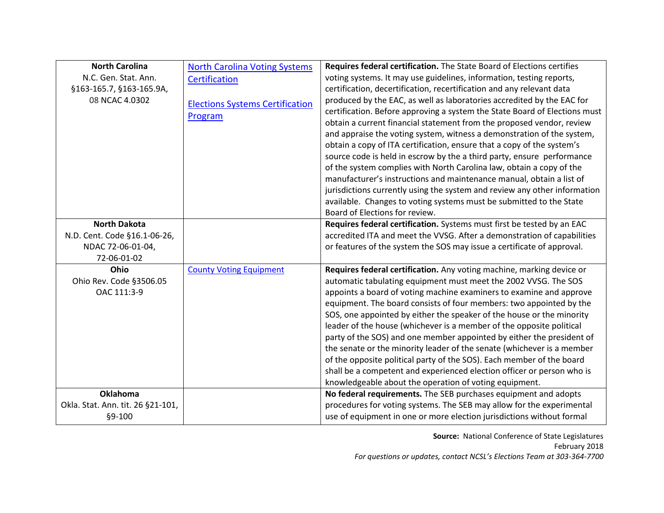| <b>North Carolina</b>             | <b>North Carolina Voting Systems</b>   | Requires federal certification. The State Board of Elections certifies     |
|-----------------------------------|----------------------------------------|----------------------------------------------------------------------------|
| N.C. Gen. Stat. Ann.              | Certification                          | voting systems. It may use guidelines, information, testing reports,       |
| §163-165.7, §163-165.9A,          |                                        | certification, decertification, recertification and any relevant data      |
| 08 NCAC 4.0302                    | <b>Elections Systems Certification</b> | produced by the EAC, as well as laboratories accredited by the EAC for     |
|                                   | Program                                | certification. Before approving a system the State Board of Elections must |
|                                   |                                        | obtain a current financial statement from the proposed vendor, review      |
|                                   |                                        | and appraise the voting system, witness a demonstration of the system,     |
|                                   |                                        | obtain a copy of ITA certification, ensure that a copy of the system's     |
|                                   |                                        | source code is held in escrow by the a third party, ensure performance     |
|                                   |                                        | of the system complies with North Carolina law, obtain a copy of the       |
|                                   |                                        | manufacturer's instructions and maintenance manual, obtain a list of       |
|                                   |                                        | jurisdictions currently using the system and review any other information  |
|                                   |                                        | available. Changes to voting systems must be submitted to the State        |
|                                   |                                        | Board of Elections for review.                                             |
| <b>North Dakota</b>               |                                        | Requires federal certification. Systems must first be tested by an EAC     |
| N.D. Cent. Code §16.1-06-26,      |                                        | accredited ITA and meet the VVSG. After a demonstration of capabilities    |
| NDAC 72-06-01-04,                 |                                        | or features of the system the SOS may issue a certificate of approval.     |
| 72-06-01-02                       |                                        |                                                                            |
| Ohio                              | <b>County Voting Equipment</b>         | Requires federal certification. Any voting machine, marking device or      |
| Ohio Rev. Code §3506.05           |                                        | automatic tabulating equipment must meet the 2002 VVSG. The SOS            |
| OAC 111:3-9                       |                                        | appoints a board of voting machine examiners to examine and approve        |
|                                   |                                        | equipment. The board consists of four members: two appointed by the        |
|                                   |                                        | SOS, one appointed by either the speaker of the house or the minority      |
|                                   |                                        | leader of the house (whichever is a member of the opposite political       |
|                                   |                                        | party of the SOS) and one member appointed by either the president of      |
|                                   |                                        | the senate or the minority leader of the senate (whichever is a member     |
|                                   |                                        | of the opposite political party of the SOS). Each member of the board      |
|                                   |                                        | shall be a competent and experienced election officer or person who is     |
|                                   |                                        | knowledgeable about the operation of voting equipment.                     |
| <b>Oklahoma</b>                   |                                        | No federal requirements. The SEB purchases equipment and adopts            |
| Okla. Stat. Ann. tit. 26 §21-101, |                                        | procedures for voting systems. The SEB may allow for the experimental      |
| §9-100                            |                                        | use of equipment in one or more election jurisdictions without formal      |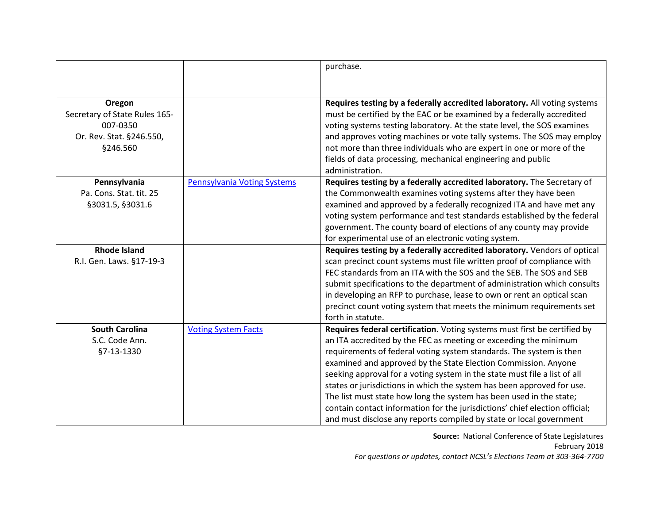|                                                                                             |                                    | purchase.                                                                                                                                                                                                                                                                                                                                                                                                                                                          |
|---------------------------------------------------------------------------------------------|------------------------------------|--------------------------------------------------------------------------------------------------------------------------------------------------------------------------------------------------------------------------------------------------------------------------------------------------------------------------------------------------------------------------------------------------------------------------------------------------------------------|
|                                                                                             |                                    |                                                                                                                                                                                                                                                                                                                                                                                                                                                                    |
| Oregon<br>Secretary of State Rules 165-<br>007-0350<br>Or. Rev. Stat. §246.550,<br>§246.560 |                                    | Requires testing by a federally accredited laboratory. All voting systems<br>must be certified by the EAC or be examined by a federally accredited<br>voting systems testing laboratory. At the state level, the SOS examines<br>and approves voting machines or vote tally systems. The SOS may employ<br>not more than three individuals who are expert in one or more of the<br>fields of data processing, mechanical engineering and public<br>administration. |
| Pennsylvania                                                                                | <b>Pennsylvania Voting Systems</b> | Requires testing by a federally accredited laboratory. The Secretary of                                                                                                                                                                                                                                                                                                                                                                                            |
| Pa. Cons. Stat. tit. 25                                                                     |                                    | the Commonwealth examines voting systems after they have been                                                                                                                                                                                                                                                                                                                                                                                                      |
| §3031.5, §3031.6                                                                            |                                    | examined and approved by a federally recognized ITA and have met any                                                                                                                                                                                                                                                                                                                                                                                               |
|                                                                                             |                                    | voting system performance and test standards established by the federal                                                                                                                                                                                                                                                                                                                                                                                            |
|                                                                                             |                                    | government. The county board of elections of any county may provide                                                                                                                                                                                                                                                                                                                                                                                                |
|                                                                                             |                                    | for experimental use of an electronic voting system.                                                                                                                                                                                                                                                                                                                                                                                                               |
| <b>Rhode Island</b>                                                                         |                                    | Requires testing by a federally accredited laboratory. Vendors of optical                                                                                                                                                                                                                                                                                                                                                                                          |
| R.I. Gen. Laws. §17-19-3                                                                    |                                    | scan precinct count systems must file written proof of compliance with                                                                                                                                                                                                                                                                                                                                                                                             |
|                                                                                             |                                    | FEC standards from an ITA with the SOS and the SEB. The SOS and SEB                                                                                                                                                                                                                                                                                                                                                                                                |
|                                                                                             |                                    | submit specifications to the department of administration which consults                                                                                                                                                                                                                                                                                                                                                                                           |
|                                                                                             |                                    | in developing an RFP to purchase, lease to own or rent an optical scan                                                                                                                                                                                                                                                                                                                                                                                             |
|                                                                                             |                                    | precinct count voting system that meets the minimum requirements set                                                                                                                                                                                                                                                                                                                                                                                               |
|                                                                                             |                                    | forth in statute.                                                                                                                                                                                                                                                                                                                                                                                                                                                  |
| <b>South Carolina</b>                                                                       | <b>Voting System Facts</b>         | Requires federal certification. Voting systems must first be certified by                                                                                                                                                                                                                                                                                                                                                                                          |
| S.C. Code Ann.                                                                              |                                    | an ITA accredited by the FEC as meeting or exceeding the minimum                                                                                                                                                                                                                                                                                                                                                                                                   |
| §7-13-1330                                                                                  |                                    | requirements of federal voting system standards. The system is then                                                                                                                                                                                                                                                                                                                                                                                                |
|                                                                                             |                                    | examined and approved by the State Election Commission. Anyone                                                                                                                                                                                                                                                                                                                                                                                                     |
|                                                                                             |                                    | seeking approval for a voting system in the state must file a list of all                                                                                                                                                                                                                                                                                                                                                                                          |
|                                                                                             |                                    | states or jurisdictions in which the system has been approved for use.                                                                                                                                                                                                                                                                                                                                                                                             |
|                                                                                             |                                    | The list must state how long the system has been used in the state;                                                                                                                                                                                                                                                                                                                                                                                                |
|                                                                                             |                                    | contain contact information for the jurisdictions' chief election official;                                                                                                                                                                                                                                                                                                                                                                                        |
|                                                                                             |                                    | and must disclose any reports compiled by state or local government                                                                                                                                                                                                                                                                                                                                                                                                |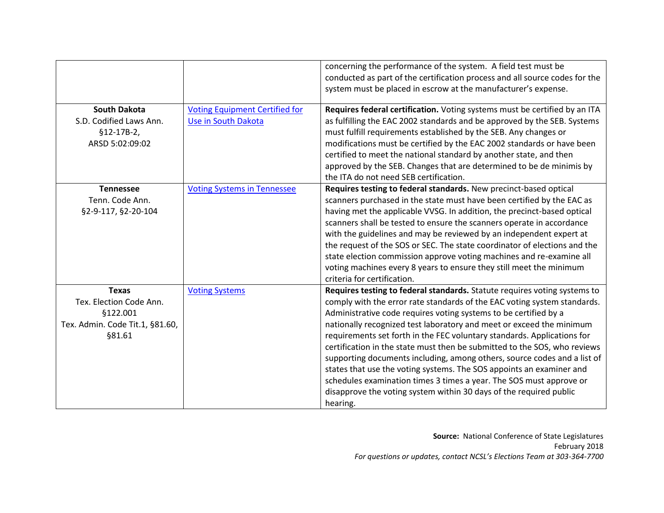|                                                                                                  |                                                              | concerning the performance of the system. A field test must be<br>conducted as part of the certification process and all source codes for the<br>system must be placed in escrow at the manufacturer's expense.                                                                                                                                                                                                                                                                                                                                                                                                                                                                                                                                                        |
|--------------------------------------------------------------------------------------------------|--------------------------------------------------------------|------------------------------------------------------------------------------------------------------------------------------------------------------------------------------------------------------------------------------------------------------------------------------------------------------------------------------------------------------------------------------------------------------------------------------------------------------------------------------------------------------------------------------------------------------------------------------------------------------------------------------------------------------------------------------------------------------------------------------------------------------------------------|
| <b>South Dakota</b><br>S.D. Codified Laws Ann.<br>$$12-17B-2,$<br>ARSD 5:02:09:02                | <b>Voting Equipment Certified for</b><br>Use in South Dakota | Requires federal certification. Voting systems must be certified by an ITA<br>as fulfilling the EAC 2002 standards and be approved by the SEB. Systems<br>must fulfill requirements established by the SEB. Any changes or<br>modifications must be certified by the EAC 2002 standards or have been<br>certified to meet the national standard by another state, and then<br>approved by the SEB. Changes that are determined to be de minimis by<br>the ITA do not need SEB certification.                                                                                                                                                                                                                                                                           |
| <b>Tennessee</b><br>Tenn. Code Ann.<br>§2-9-117, §2-20-104                                       | <b>Voting Systems in Tennessee</b>                           | Requires testing to federal standards. New precinct-based optical<br>scanners purchased in the state must have been certified by the EAC as<br>having met the applicable VVSG. In addition, the precinct-based optical<br>scanners shall be tested to ensure the scanners operate in accordance<br>with the guidelines and may be reviewed by an independent expert at<br>the request of the SOS or SEC. The state coordinator of elections and the<br>state election commission approve voting machines and re-examine all<br>voting machines every 8 years to ensure they still meet the minimum<br>criteria for certification.                                                                                                                                      |
| <b>Texas</b><br>Tex. Election Code Ann.<br>§122.001<br>Tex. Admin. Code Tit.1, §81.60,<br>§81.61 | <b>Voting Systems</b>                                        | Requires testing to federal standards. Statute requires voting systems to<br>comply with the error rate standards of the EAC voting system standards.<br>Administrative code requires voting systems to be certified by a<br>nationally recognized test laboratory and meet or exceed the minimum<br>requirements set forth in the FEC voluntary standards. Applications for<br>certification in the state must then be submitted to the SOS, who reviews<br>supporting documents including, among others, source codes and a list of<br>states that use the voting systems. The SOS appoints an examiner and<br>schedules examination times 3 times a year. The SOS must approve or<br>disapprove the voting system within 30 days of the required public<br>hearing. |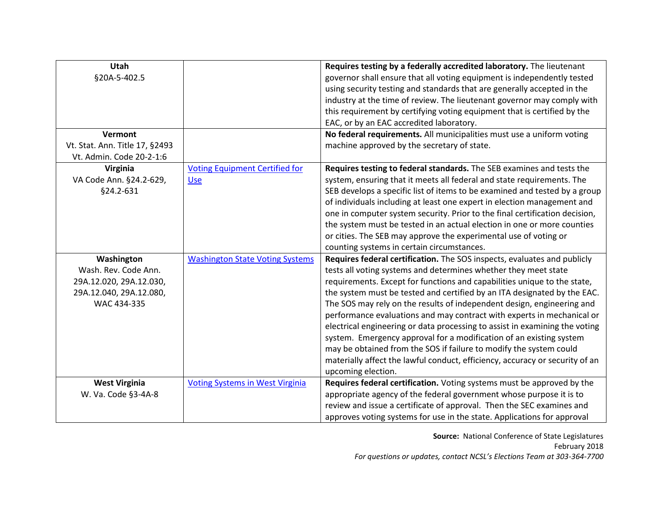| <b>Utah</b>                    |                                        | Requires testing by a federally accredited laboratory. The lieutenant        |
|--------------------------------|----------------------------------------|------------------------------------------------------------------------------|
| §20A-5-402.5                   |                                        | governor shall ensure that all voting equipment is independently tested      |
|                                |                                        | using security testing and standards that are generally accepted in the      |
|                                |                                        | industry at the time of review. The lieutenant governor may comply with      |
|                                |                                        | this requirement by certifying voting equipment that is certified by the     |
|                                |                                        | EAC, or by an EAC accredited laboratory.                                     |
| Vermont                        |                                        | No federal requirements. All municipalities must use a uniform voting        |
| Vt. Stat. Ann. Title 17, §2493 |                                        | machine approved by the secretary of state.                                  |
| Vt. Admin. Code 20-2-1:6       |                                        |                                                                              |
| Virginia                       | <b>Voting Equipment Certified for</b>  | Requires testing to federal standards. The SEB examines and tests the        |
| VA Code Ann. §24.2-629,        | Use                                    | system, ensuring that it meets all federal and state requirements. The       |
| §24.2-631                      |                                        | SEB develops a specific list of items to be examined and tested by a group   |
|                                |                                        | of individuals including at least one expert in election management and      |
|                                |                                        | one in computer system security. Prior to the final certification decision,  |
|                                |                                        | the system must be tested in an actual election in one or more counties      |
|                                |                                        | or cities. The SEB may approve the experimental use of voting or             |
|                                |                                        | counting systems in certain circumstances.                                   |
| Washington                     | <b>Washington State Voting Systems</b> | Requires federal certification. The SOS inspects, evaluates and publicly     |
| Wash. Rev. Code Ann.           |                                        | tests all voting systems and determines whether they meet state              |
| 29A.12.020, 29A.12.030,        |                                        | requirements. Except for functions and capabilities unique to the state,     |
| 29A.12.040, 29A.12.080,        |                                        | the system must be tested and certified by an ITA designated by the EAC.     |
| WAC 434-335                    |                                        | The SOS may rely on the results of independent design, engineering and       |
|                                |                                        | performance evaluations and may contract with experts in mechanical or       |
|                                |                                        | electrical engineering or data processing to assist in examining the voting  |
|                                |                                        | system. Emergency approval for a modification of an existing system          |
|                                |                                        | may be obtained from the SOS if failure to modify the system could           |
|                                |                                        | materially affect the lawful conduct, efficiency, accuracy or security of an |
|                                |                                        | upcoming election.                                                           |
| <b>West Virginia</b>           | <b>Voting Systems in West Virginia</b> | Requires federal certification. Voting systems must be approved by the       |
| W. Va. Code §3-4A-8            |                                        | appropriate agency of the federal government whose purpose it is to          |
|                                |                                        | review and issue a certificate of approval. Then the SEC examines and        |
|                                |                                        | approves voting systems for use in the state. Applications for approval      |